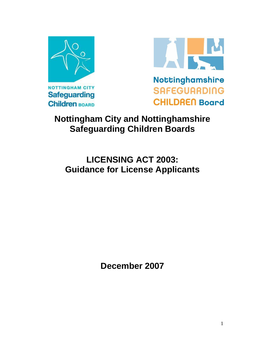



## **Nottingham City and Nottinghamshire Safeguarding Children Boards**

# **LICENSING ACT 2003: Guidance for License Applicants**

**December 2007**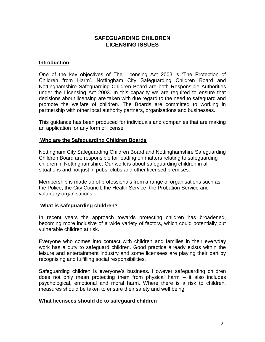#### **SAFEGUARDING CHILDREN LICENSING ISSUES**

#### **Introduction**

One of the key objectives of The Licensing Act 2003 is 'The Protection of Children from Harm'. Nottingham City Safeguarding Children Board and Nottinghamshire Safeguarding Children Board are both Responsible Authorities under the Licensing Act 2003. In this capacity we are required to ensure that decisions about licensing are taken with due regard to the need to safeguard and promote the welfare of children. The Boards are committed to working in partnership with other local authority partners, organisations and businesses.

This guidance has been produced for individuals and companies that are making an application for any form of license.

#### **Who are the Safeguarding Children Boards**

Nottingham City Safeguarding Children Board and Nottinghamshire Safeguarding Children Board are responsible for leading on matters relating to safeguarding children in Nottinghamshire. Our work is about safeguarding children in all situations and not just in pubs, clubs and other licensed premises.

Membership is made up of professionals from a range of organisations such as the Police, the City Council, the Health Service, the Probation Service and voluntary organisations.

#### **What is safeguarding children?**

In recent years the approach towards protecting children has broadened, becoming more inclusive of a wide variety of factors, which could potentially put vulnerable children at risk.

Everyone who comes into contact with children and families in their everyday work has a duty to safeguard children. Good practice already exists within the leisure and entertainment industry and some licensees are playing their part by recognising and fulfilling social responsibilities.

Safeguarding children is everyone's business**.** However safeguarding children does not only mean protecting them from physical harm – it also includes psychological, emotional and moral harm. Where there is a risk to children, measures should be taken to ensure their safety and well being

#### **What licensees should do to safeguard children**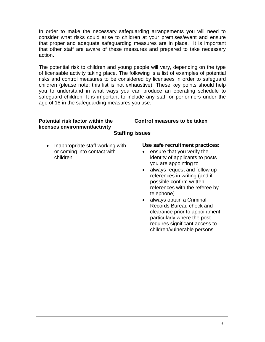In order to make the necessary safeguarding arrangements you will need to consider what risks could arise to children at your premises/event and ensure that proper and adequate safeguarding measures are in place. It is important that other staff are aware of these measures and prepared to take necessary action.

The potential risk to children and young people will vary, depending on the type of licensable activity taking place. The following is a list of examples of potential risks and control measures to be considered by licensees in order to safeguard children (please note: this list is not exhaustive). These key points should help you to understand in what ways you can produce an operating schedule to safeguard children. It is important to include any staff or performers under the age of 18 in the safeguarding measures you use.

| Potential risk factor within the                                            | <b>Control measures to be taken</b>                                                                                                                                                                                                                                                                                                                                                                                                                                           |
|-----------------------------------------------------------------------------|-------------------------------------------------------------------------------------------------------------------------------------------------------------------------------------------------------------------------------------------------------------------------------------------------------------------------------------------------------------------------------------------------------------------------------------------------------------------------------|
| licenses environment/activity                                               |                                                                                                                                                                                                                                                                                                                                                                                                                                                                               |
|                                                                             | <b>Staffing issues</b>                                                                                                                                                                                                                                                                                                                                                                                                                                                        |
| Inappropriate staff working with<br>or coming into contact with<br>children | Use safe recruitment practices:<br>ensure that you verify the<br>identity of applicants to posts<br>you are appointing to<br>always request and follow up<br>references in writing (and if<br>possible confirm written<br>references with the referee by<br>telephone)<br>always obtain a Criminal<br>$\bullet$<br>Records Bureau check and<br>clearance prior to appointment<br>particularly where the post<br>requires significant access to<br>children/vulnerable persons |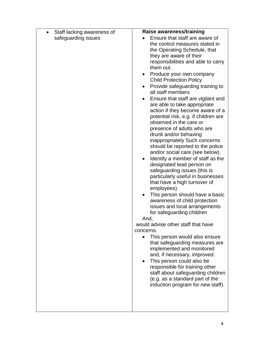| Staff lacking awareness of<br>$\bullet$ | Raise awareness/training                                        |
|-----------------------------------------|-----------------------------------------------------------------|
| safeguarding issues                     | Ensure that staff are aware of                                  |
|                                         | the control measures stated in                                  |
|                                         | the Operating Schedule, that                                    |
|                                         | they are aware of their                                         |
|                                         | responsibilities and able to carry                              |
|                                         | them out.                                                       |
|                                         | Produce your own company<br>$\bullet$                           |
|                                         | <b>Child Protection Policy</b>                                  |
|                                         | Provide safeguarding training to                                |
|                                         | all staff members                                               |
|                                         | Ensure that staff are vigilant and                              |
|                                         | are able to take appropriate                                    |
|                                         | action if they become aware of a                                |
|                                         | potential risk, e.g. if children are<br>observed in the care or |
|                                         | presence of adults who are                                      |
|                                         | drunk and/or behaving                                           |
|                                         | inappropriately Such concerns                                   |
|                                         | should be reported to the police                                |
|                                         | and/or social care (see below).                                 |
|                                         | Identify a member of staff as the                               |
|                                         | designated lead person on                                       |
|                                         | safeguarding issues (this is                                    |
|                                         | particularly useful in businesses                               |
|                                         | that have a high turnover of                                    |
|                                         | employees)                                                      |
|                                         | This person should have a basic                                 |
|                                         | awareness of child protection                                   |
|                                         | issues and local arrangements                                   |
|                                         | for safeguarding children                                       |
|                                         | And,<br>would advise other staff that have                      |
|                                         | concerns.                                                       |
|                                         | This person would also ensure<br>$\bullet$                      |
|                                         | that safeguarding measures are                                  |
|                                         | implemented and monitored                                       |
|                                         | and, if necessary, improved.                                    |
|                                         | This person could also be                                       |
|                                         | responsible for training other                                  |
|                                         | staff about safeguarding children                               |
|                                         | (e.g. as a standard part of the                                 |
|                                         | induction program for new staff).                               |
|                                         |                                                                 |
|                                         |                                                                 |
|                                         |                                                                 |
|                                         |                                                                 |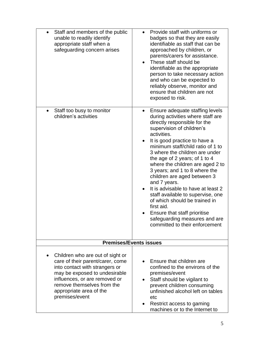| Staff and members of the public<br>$\bullet$<br>unable to readily identify<br>appropriate staff when a<br>safeguarding concern arises                                                                                                               | Provide staff with uniforms or<br>$\bullet$<br>badges so that they are easily<br>identifiable as staff that can be<br>approached by children, or<br>parents/carers for assistance.<br>These staff should be<br>$\bullet$<br>identifiable as the appropriate<br>person to take necessary action<br>and who can be expected to<br>reliably observe, monitor and<br>ensure that children are not<br>exposed to risk.                                                                                                                                                                                                                                                    |
|-----------------------------------------------------------------------------------------------------------------------------------------------------------------------------------------------------------------------------------------------------|----------------------------------------------------------------------------------------------------------------------------------------------------------------------------------------------------------------------------------------------------------------------------------------------------------------------------------------------------------------------------------------------------------------------------------------------------------------------------------------------------------------------------------------------------------------------------------------------------------------------------------------------------------------------|
| Staff too busy to monitor<br>children's activities                                                                                                                                                                                                  | Ensure adequate staffing levels<br>$\bullet$<br>during activities where staff are<br>directly responsible for the<br>supervision of children's<br>activities.<br>It is good practice to have a<br>$\bullet$<br>minimum staff/child ratio of 1 to<br>3 where the children are under<br>the age of 2 years; of 1 to 4<br>where the children are aged 2 to<br>3 years; and 1 to 8 where the<br>children are aged between 3<br>and 7 years.<br>It is advisable to have at least 2<br>staff available to supervise, one<br>of which should be trained in<br>first aid.<br>Ensure that staff prioritise<br>safeguarding measures and are<br>committed to their enforcement |
|                                                                                                                                                                                                                                                     | <b>Premises/Events issues</b>                                                                                                                                                                                                                                                                                                                                                                                                                                                                                                                                                                                                                                        |
| Children who are out of sight or<br>care of their parent/carer, come<br>into contact with strangers or<br>may be exposed to undesirable<br>influences, or are removed or<br>remove themselves from the<br>appropriate area of the<br>premises/event | Ensure that children are<br>confined to the environs of the<br>premises/event<br>Staff should be vigilant to<br>prevent children consuming<br>unfinished alcohol left on tables<br>etc<br>Restrict access to gaming<br>machines or to the Internet to                                                                                                                                                                                                                                                                                                                                                                                                                |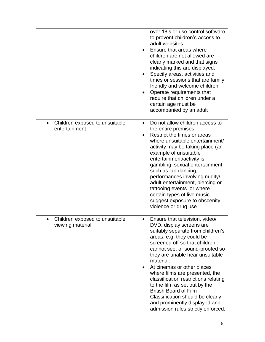|                                                              | over 18's or use control software<br>to prevent children's access to<br>adult websites<br>Ensure that areas where<br>children are not allowed are<br>clearly marked and that signs<br>indicating this are displayed.<br>Specify areas, activities and<br>times or sessions that are family<br>friendly and welcome children<br>Operate requirements that<br>require that children under a<br>certain age must be<br>accompanied by an adult                                                                                                       |
|--------------------------------------------------------------|---------------------------------------------------------------------------------------------------------------------------------------------------------------------------------------------------------------------------------------------------------------------------------------------------------------------------------------------------------------------------------------------------------------------------------------------------------------------------------------------------------------------------------------------------|
| Children exposed to unsuitable<br>$\bullet$<br>entertainment | Do not allow children access to<br>$\bullet$<br>the entire premises;<br>Restrict the times or areas<br>where unsuitable entertainment/<br>activity may be taking place (an<br>example of unsuitable<br>entertainment/activity is<br>gambling, sexual entertainment<br>such as lap dancing,<br>performances involving nudity/<br>adult entertainment, piercing or<br>tattooing events or where<br>certain types of live music<br>suggest exposure to obscenity<br>violence or drug use                                                             |
| Children exposed to unsuitable<br>viewing material           | Ensure that television, video/<br>DVD, display screens are<br>suitably separate from children's<br>areas; e.g. they could be<br>screened off so that children<br>cannot see, or sound-proofed so<br>they are unable hear unsuitable<br>material.<br>At cinemas or other places<br>$\bullet$<br>where films are presented, the<br>classification restrictions relating<br>to the film as set out by the<br><b>British Board of Film</b><br>Classification should be clearly<br>and prominently displayed and<br>admission rules strictly enforced. |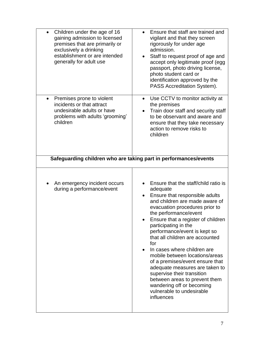| Children under the age of 16<br>$\bullet$<br>gaining admission to licensed<br>premises that are primarily or<br>exclusively a drinking<br>establishment or are intended<br>generally for adult use | Ensure that staff are trained and<br>vigilant and that they screen<br>rigorously for under age<br>admission.<br>Staff to request proof of age and<br>$\bullet$<br>accept only legitimate proof (egg<br>passport, photo driving license,<br>photo student card or<br>identification approved by the<br>PASS Accreditation System).                                                                                                                                                                                                                                                                                 |
|----------------------------------------------------------------------------------------------------------------------------------------------------------------------------------------------------|-------------------------------------------------------------------------------------------------------------------------------------------------------------------------------------------------------------------------------------------------------------------------------------------------------------------------------------------------------------------------------------------------------------------------------------------------------------------------------------------------------------------------------------------------------------------------------------------------------------------|
| Premises prone to violent<br>incidents or that attract<br>undesirable adults or have<br>problems with adults 'grooming'<br>children                                                                | Use CCTV to monitor activity at<br>$\bullet$<br>the premises<br>Train door staff and security staff<br>$\bullet$<br>to be observant and aware and<br>ensure that they take necessary<br>action to remove risks to<br>children                                                                                                                                                                                                                                                                                                                                                                                     |
|                                                                                                                                                                                                    | Safeguarding children who are taking part in performances/events                                                                                                                                                                                                                                                                                                                                                                                                                                                                                                                                                  |
| An emergency incident occurs<br>during a performance/event                                                                                                                                         | Ensure that the staff/child ratio is<br>adequate<br>Ensure that responsible adults<br>$\bullet$<br>and children are made aware of<br>evacuation procedures prior to<br>the performance/event<br>Ensure that a register of children<br>participating in the<br>performance/event is kept so<br>that all children are accounted<br>for<br>In cases where children are<br>mobile between locations/areas<br>of a premises/event ensure that<br>adequate measures are taken to<br>supervise their transition<br>between areas to prevent them<br>wandering off or becoming<br>vulnerable to undesirable<br>influences |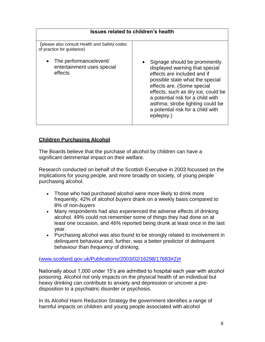| <b>Issues related to children's health</b>                                   |                                                                                                                                                                                                                                                                                                                                   |
|------------------------------------------------------------------------------|-----------------------------------------------------------------------------------------------------------------------------------------------------------------------------------------------------------------------------------------------------------------------------------------------------------------------------------|
| (please also consult Health and Safety codes<br>of practice for guidance)    |                                                                                                                                                                                                                                                                                                                                   |
| The performance/event/<br>$\bullet$<br>entertainment uses special<br>effects | Signage should be prominently<br>displayed warning that special<br>effects are included and if<br>possible state what the special<br>effects are. (Some special<br>effects, such as dry ice, could be<br>a potential risk for a child with<br>asthma; strobe lighting could be<br>a potential risk for a child with<br>epilepsy.) |

#### **Children Purchasing Alcohol**

The Boards believe that the purchase of alcohol by children can have a significant detrimental impact on their welfare.

Research conducted on behalf of the Scottish Executive in 2003 focussed on the implications for young people, and more broadly on society, of young people purchasing alcohol.

- Those who had purchased alcohol were more likely to drink more frequently. 42% of alcohol *buyers* drank on a weekly basis compared to 8% of *non-buyers*
- Many respondents had also experienced the adverse effects of drinking alcohol. 49% could not remember some of things they had done on at least one occasion, and 46% reported being drunk at least once in the last year.
- Purchasing alcohol was also found to be strongly related to involvement in delinquent behaviour and, further, was a better predictor of delinquent behaviour than *frequency* of drinking.

#### [\(www.scotland.gov.uk/Publications/2003/02/16298/17683#2\)#](http://www.scotland.gov.uk/Publications/2003/02/16298/17683#2)%23)

Nationally about 1,000 under 15's are admitted to hospital each year with alcohol poisoning. Alcohol not only impacts on the physical health of an individual but heavy drinking can contribute to anxiety and depression or uncover a predisposition to a psychiatric disorder or psychosis.

In its Alcohol Harm Reduction Strategy the government identifies a range of harmful impacts on children and young people associated with alcohol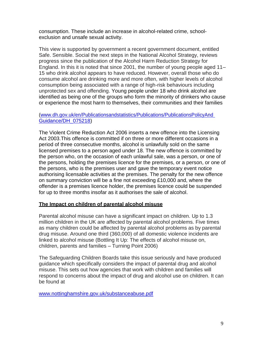consumption. These include an increase in alcohol-related crime, schoolexclusion and unsafe sexual activity.

This view is supported by government a recent government document, entitled Safe. Sensible. Social the next steps in the National Alcohol Strategy, reviews progress since the publication of the Alcohol Harm Reduction Strategy for England. In this it is noted that since 2001, the number of young people aged 11– 15 who drink alcohol appears to have reduced. However, overall those who do consume alcohol are drinking more and more often, with higher levels of alcohol consumption being associated with a range of high-risk behaviours including unprotected sex and offending. Young people under 18 who drink alcohol are identified as being one of the groups who form the minority of drinkers who cause or experience the most harm to themselves, their communities and their families

#### [\(www.dh.gov.uk/en/Publicationsandstatistics/Publications/PublicationsPolicyAnd](http://www.dh.gov.uk/en/Publicationsandstatistics/Publications/PublicationsPolicyAndGuidance/DH_075218) [Guidance/DH\\_075218\)](http://www.dh.gov.uk/en/Publicationsandstatistics/Publications/PublicationsPolicyAndGuidance/DH_075218)

The Violent Crime Reduction Act 2006 inserts a new offence into the Licensing Act 2003.This offence is committed if on three or more different occasions in a period of three consecutive months, alcohol is unlawfully sold on the same licensed premises to a person aged under 18. The new offence is committed by the person who, on the occasion of each unlawful sale, was a person, or one of the persons, holding the premises licence for the premises, or a person, or one of the persons, who is the premises user and gave the temporary event notice authorising licensable activities at the premises. The penalty for the new offence on summary conviction will be a fine not exceeding £10,000 and, where the offender is a premises licence holder, the premises licence could be suspended for up to three months insofar as it authorises the sale of alcohol.

#### **The Impact on children of parental alcohol misuse**

Parental alcohol misuse can have a significant impact on children. Up to 1.3 million children in the UK are affected by parental alcohol problems. Five times as many children could be affected by parental alcohol problems as by parental drug misuse. Around one third (360,000) of all domestic violence incidents are linked to alcohol misuse (Bottling It Up: The effects of alcohol misuse on, children, parents and families – Turning Point 2006)

The Safeguarding Children Boards take this issue seriously and have produced guidance which specifically considers the impact of parental drug and alcohol misuse. This sets out how agencies that work with children and families will respond to concerns about the impact of drug and alcohol use on children. It can be found at

[www.nottinghamshire.gov.uk/substanceabuse.pdf](http://www.nottinghamshire.gov.uk/substanceabuse.pdf)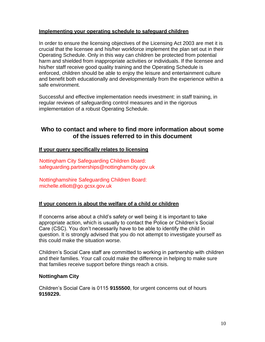#### **Implementing your operating schedule to safeguard children**

In order to ensure the licensing objectives of the Licensing Act 2003 are met it is crucial that the licensee and his/her workforce implement the plan set out in their Operating Schedule. Only in this way can children be protected from potential harm and shielded from inappropriate activities or individuals. If the licensee and his/her staff receive good quality training and the Operating Schedule is enforced, children should be able to enjoy the leisure and entertainment culture and benefit both educationally and developmentally from the experience within a safe environment.

Successful and effective implementation needs investment: in staff training, in regular reviews of safeguarding control measures and in the rigorous implementation of a robust Operating Schedule.

### **Who to contact and where to find more information about some of the issues referred to in this document**

#### **If your query specifically relates to licensing**

Nottingham City Safeguarding Children Board: [safeguarding.partnerships@nottinghamcity.gov.uk](mailto:safeguarding.partnerships@nottinghamcity.gov.uk)

Nottinghamshire Safeguarding Children Board: [michelle.elliott@go.gcsx.gov.uk](mailto:michelle.elliott@go.gcsx.gov.uk)

#### **If your concern is about the welfare of a child or children**

If concerns arise about a child's safety or well being it is important to take appropriate action, which is usually to contact the Police or Children's Social Care (CSC). You don't necessarily have to be able to identify the child in question. It is strongly advised that you do not attempt to investigate yourself as this could make the situation worse.

Children's Social Care staff are committed to working in partnership with children and their families. Your call could make the difference in helping to make sure that families receive support before things reach a crisis.

#### **Nottingham City**

Children's Social Care is 0115 **9155500**, for urgent concerns out of hours **9159229.**